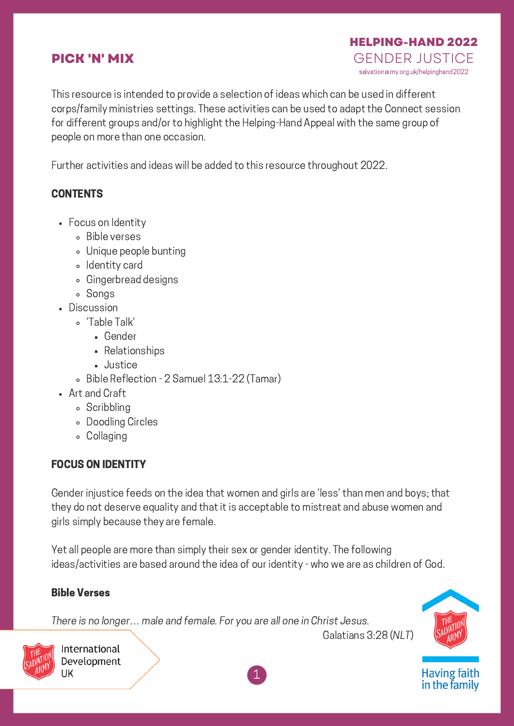# **PICK 'N' MIX**

This resource is intended to provide a selection of ideas which can be used in different corps/family ministries settings. These activities can be used to adapt the Connect session for different groups and/or to highlight the Helping-Hand Appeal with the same group of people on more than one occasion.

Further activities and ideas will be added to this resource throughout 2022.

#### **CONTENTS**

- Focus on Identity
	- Bible verses
	- Unique people bunting
	- Identity card
	- Gingerbread designs
	- Songs
- Discussion
	- 'Table Talk'
		- Gender
		- Relationships
		- **Justice**
	- Bible Reflection 2 Samuel 13:1-22 (Tamar)
- Art and Craft
	- **Scribbling**
	- Doodling Circles
	- Collaging

# FOCUS ON IDENTITY

Gender injustice feeds on the idea that women and girls are 'less' than men and boys; that they do not deserve equality and that it is acceptable to mistreat and abuse women and girls simply because they are female.

Yet all people are more than simply their sex or gender identity. The following ideas/activities are based around the idea of our identity - who we are as children of God.

#### Bible Verses

There is no longer… male and female. For you are all one in Christ Jesus.



**HELPING-HAND 2022**

salvationarmy.org.uk/helpinghand2022 GENDER JUSTICE



Having faith<br>in the family



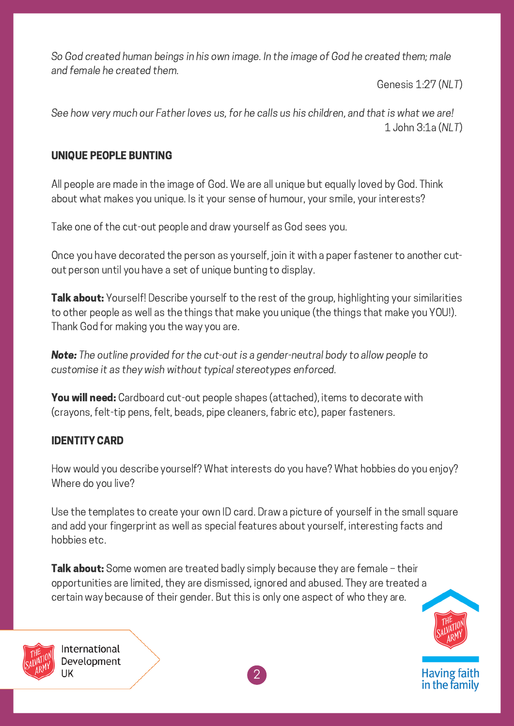So God created human beings in his own image. In the image of God he created them; male and female he created them.

Genesis 1:27 (NLT)

See how very much our Father loves us, for he calls us his children, and that is what we are! 1 John 3:1a (NLT)

### UNIQUE PEOPLE BUNTING

All people are made in the image of God. We are all unique but equally loved by God. Think about what makes you unique. Is it your sense of humour, your smile, your interests?

Take one of the cut-out people and draw yourself as God sees you.

Once you have decorated the person as yourself, join it with a paper fastener to another cutout person until you have a set of unique bunting to display.

**Talk about:** Yourself! Describe yourself to the rest of the group, highlighting your similarities to other people as well as the things that make you unique (the things that make you YOU!). Thank God for making you the way you are.

**Note:** The outline provided for the cut-out is a gender-neutral body to allow people to customise it as they wish without typical stereotypes enforced.

You will need: Cardboard cut-out people shapes (attached), items to decorate with (crayons, felt-tip pens, felt, beads, pipe cleaners, fabric etc), paper fasteners.

# IDENTITY CARD

How would you describe yourself? What interests do you have? What hobbies do you enjoy? Where do you live?

Use the templates to create your own ID card. Draw a picture of yourself in the small square and add your fingerprint as well as special features about yourself, interesting facts and hobbies etc.

**Talk about:** Some women are treated badly simply because they are female - their opportunities are limited, they are dismissed, ignored and abused. They are treated a certain way because of their gender. But this is only one aspect of who they are.





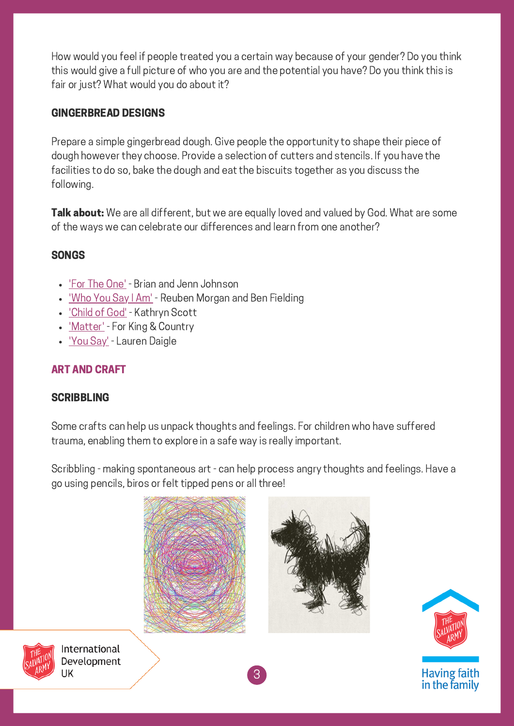How would you feel if people treated you a certain way because of your gender? Do you think this would give a full picture of who you are and the potential you have? Do you think this is fair or just? What would you do about it?

### GINGERBREAD DESIGNS

Prepare a simple gingerbread dough. Give people the opportunity to shape their piece of dough however they choose. Provide a selection of cutters and stencils. If you have the facilities to do so, bake the dough and eat the biscuits together as you discuss the following.

**Talk about:** We are all different, but we are equally loved and valued by God. What are some of the ways we can celebrate our differences and learn from one another?

#### **SONGS**

- ['F](https://www.youtube.com/watch?v=e_bj6mjUj7k)or The [One'](https://www.youtube.com/watch?v=e_bj6mjUj7k) Brian and Jenn Johnson
- ['Who](https://www.youtube.com/watch?v=IcC1Bp13n_4) You Say I Am' Reuben Morgan and Ben Fielding
- ['Child](https://www.youtube.com/watch?v=cNeNGN2q-r8) of God' Kathryn Scott
- ['Matter'](https://www.youtube.com/watch?v=fMFwpUPi4Ag) For King & Country
- *['Y](https://www.youtube.com/watch?v=oZvKJl1kK8g)ou [Say'](https://www.youtube.com/watch?v=oZvKJl1kK8g)* Lauren Daigle

# ART AND CRAFT

#### **SCRIBBLING**

Some crafts can help us unpack thoughts and feelings. For children who have suffered trauma, enabling them to explore in a safe way is really important.

Scribbling - making spontaneous art - can help process angry thoughts and feelings. Have a go using pencils, biros or felt tipped pens or all three!



3



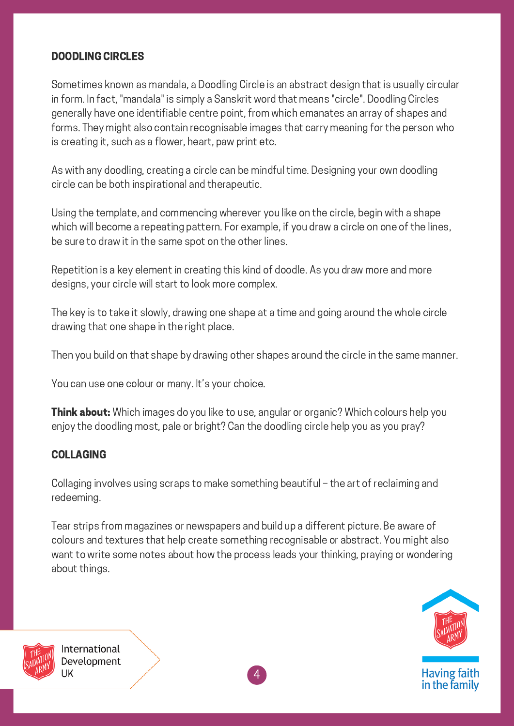#### DOODLING CIRCLES

Sometimes known as mandala, a Doodling Circle is an abstract design that is usually circular in form. In fact, "mandala" is simply a Sanskrit word that means "circle". Doodling Circles generally have one identifiable centre point, from which emanates an array of shapes and forms. They might also contain recognisable images that carry meaning for the person who is creating it, such as a flower, heart, paw print etc.

As with any doodling, creating a circle can be mindful time. Designing your own doodling circle can be both inspirational and therapeutic.

Using the template, and commencing wherever you like on the circle, begin with a shape which will become a repeating pattern. For example, if you draw a circle on one of the lines, be sure to draw it in the same spot on the other lines.

Repetition is a key element in creating this kind of doodle. As you draw more and more designs, your circle will start to look more complex.

The key is to take it slowly, drawing one shape at a time and going around the whole circle drawing that one shape in the right place.

Then you build on that shape by drawing other shapes around the circle in the same manner.

You can use one colour or many. It's your choice.

**Think about:** Which images do you like to use, angular or organic? Which colours help you enjoy the doodling most, pale or bright? Can the doodling circle help you as you pray?

# COLLAGING

Collaging involves using scraps to make something beautiful – the art of reclaiming and redeeming.

Tear strips from magazines or newspapers and build up a different picture. Be aware of colours and textures that help create something recognisable or abstract. You might also want to write some notes about how the process leads your thinking, praying or wondering about things.





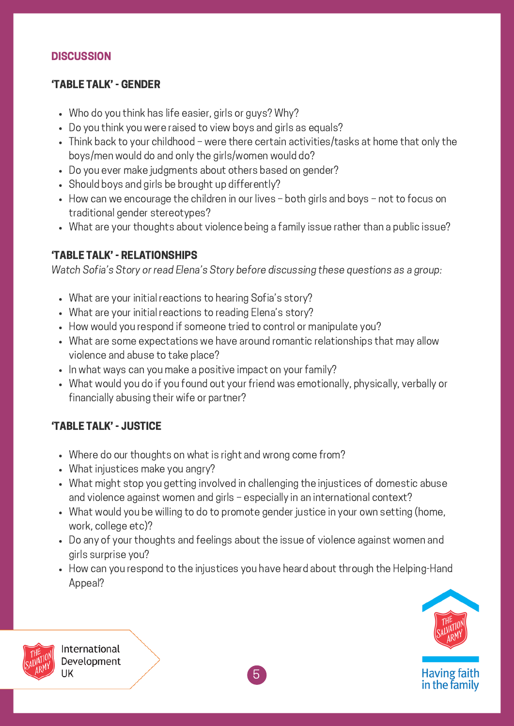#### **DISCUSSION**

# 'TABLE TALK' - GENDER

- Who do you think has life easier, girls or guys? Why?
- Do you think you were raised to view boys and girls as equals?
- Think back to your childhood were there certain activities/tasks at home that only the boys/men would do and only the girls/women would do?
- Do you ever make judgments about others based on gender?
- Should boys and girls be brought up differently?
- How can we encourage the children in our lives both girls and boys not to focus on traditional gender stereotypes?
- What are your thoughts about violence being a family issue rather than a public issue?

# 'TABLE TALK' - RELATIONSHIPS

Watch Sofia's Story or read Elena's Story before discussing these questions as a group:

- What are your initial reactions to hearing Sofia's story?
- What are your initial reactions to reading Elena's story?
- How would you respond if someone tried to control or manipulate you?
- What are some expectations we have around romantic relationships that may allow violence and abuse to take place?
- In what ways can you make a positive impact on your family?
- What would you do if you found out your friend was emotionally, physically, verbally or financially abusing their wife or partner?

# 'TABLE TALK' - JUSTICE

- Where do our thoughts on what is right and wrong come from?
- What injustices make you angry?
- What might stop you getting involved in challenging the injustices of domestic abuse and violence against women and girls – especially in an international context?
- What would you be willing to do to promote gender justice in your own setting (home, work, college etc)?
- Do any of your thoughts and feelings about the issue of violence against women and girls surprise you?
- How can you respond to the injustices you have heard about through the Helping-Hand Appeal?



**Having faith** in the family



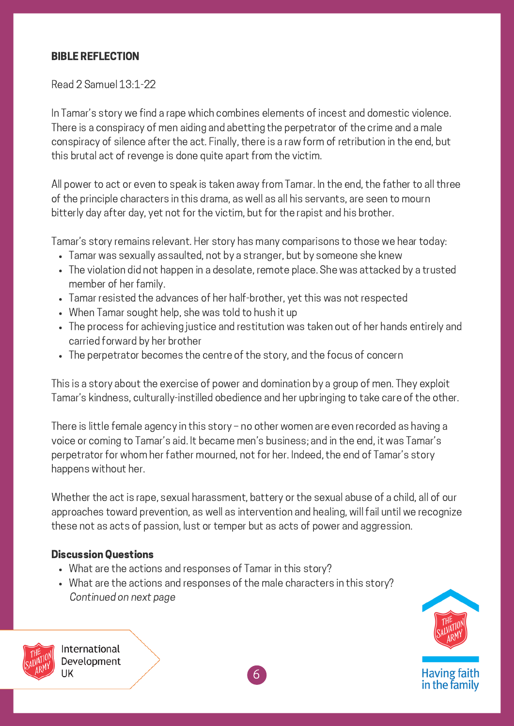#### BIBLE REFLECTION

Read 2 Samuel 13:1-22

In Tamar's story we find a rape which combines elements of incest and domestic violence. There is a conspiracy of men aiding and abetting the perpetrator of the crime and a male conspiracy of silence after the act. Finally, there is a raw form of retribution in the end, but this brutal act of revenge is done quite apart from the victim.

All power to act or even to speak is taken away from Tamar. In the end, the father to all three of the principle characters in this drama, as well as all his servants, are seen to mourn bitterly day after day, yet not for the victim, but for the rapist and his brother.

Tamar's story remains relevant. Her story has many comparisons to those we hear today:

- Tamar was sexually assaulted, not by a stranger, but by someone she knew
- The violation did not happen in a desolate, remote place. She was attacked by a trusted member of her family.
- Tamar resisted the advances of her half-brother, yet this was not respected
- When Tamar sought help, she was told to hush it up
- The process for achieving justice and restitution was taken out of her hands entirely and carried forward by her brother
- The perpetrator becomes the centre of the story, and the focus of concern

This is a story about the exercise of power and domination by a group of men. They exploit Tamar's kindness, culturally-instilled obedience and her upbringing to take care of the other.

There is little female agency in this story – no other women are even recorded as having a voice or coming to Tamar's aid. It became men's business; and in the end, it was Tamar's perpetrator for whom her father mourned, not for her. Indeed, the end of Tamar's story happens without her.

Whether the act is rape, sexual harassment, battery or the sexual abuse of a child, all of our approaches toward prevention, as well as intervention and healing, will fail until we recognize these not as acts of passion, lust or temper but as acts of power and aggression.

#### Discussion Questions

- What are the actions and responses of Tamar in this story?
- What are the actions and responses of the male characters in this story? Continued on next page



Having faith<br>in the family



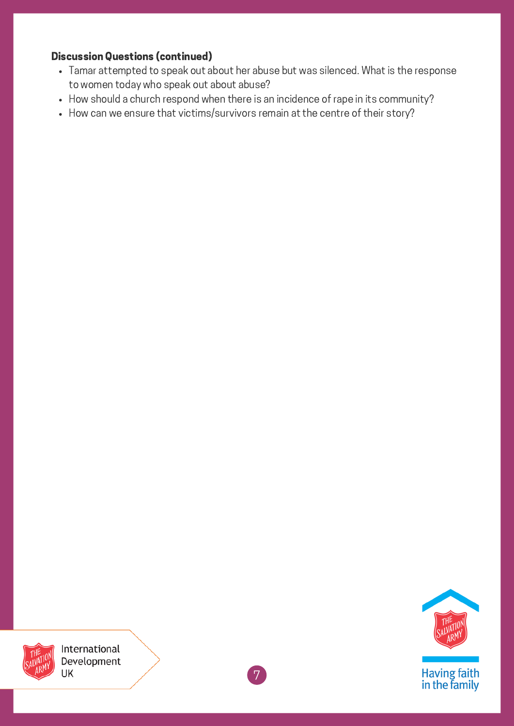#### Discussion Questions (continued)

- Tamar attempted to speak out about her abuse but was silenced. What is the response to women today who speak out about abuse?
- How should a church respond when there is an incidence of rape in its community?
- How can we ensure that victims/survivors remain at the centre of their story?





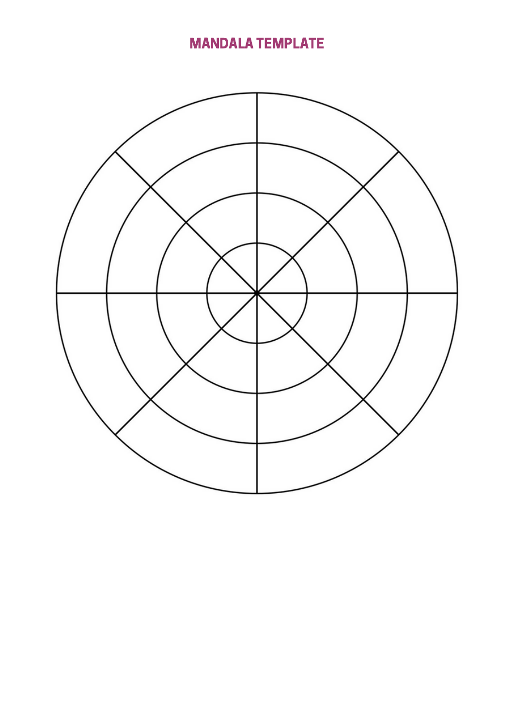# MANDALA TEMPLATE

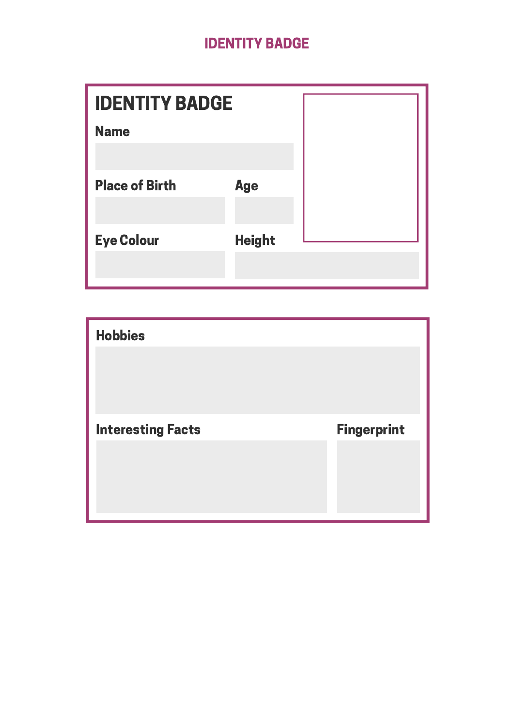# IDENTITY BADGE

| <b>IDENTITY BADGE</b> |               |  |
|-----------------------|---------------|--|
| <b>Name</b>           |               |  |
|                       |               |  |
| <b>Place of Birth</b> | <b>Age</b>    |  |
|                       |               |  |
| <b>Eye Colour</b>     | <b>Height</b> |  |
|                       |               |  |

| <b>Hobbies</b>           |                    |
|--------------------------|--------------------|
| <b>Interesting Facts</b> | <b>Fingerprint</b> |